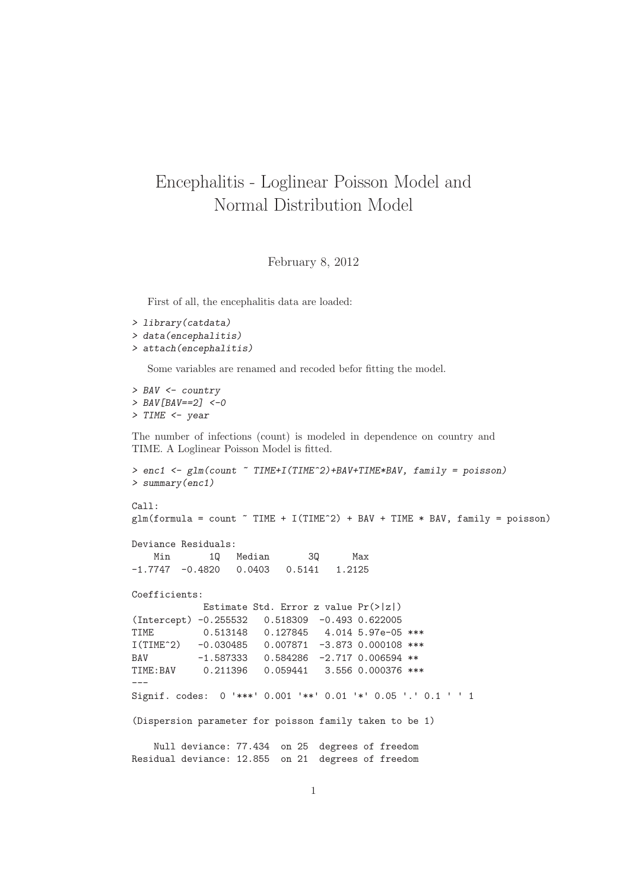## Encephalitis - Loglinear Poisson Model and Normal Distribution Model

February 8, 2012

First of all, the encephalitis data are loaded:

```
> library(catdata)
> data(encephalitis)
```

```
> attach(encephalitis)
```
Some variables are renamed and recoded befor fitting the model.

> BAV <- country >  $BAV[BAV==2]$  <-0 > TIME <- year

The number of infections (count) is modeled in dependence on country and TIME. A Loglinear Poisson Model is fitted.

```
> enc1 <- glm(count ~ TIME+I(TIME~2)+BAV+TIME*BAV, family = poisson)
> summary(enc1)
Ca11:glm(formula = count "TIME + I(TIME^2) + BAV + TIME * BAV, family = poisson)Deviance Residuals:
   Min 1Q Median 3Q Max
-1.7747 -0.4820 0.0403 0.5141 1.2125
Coefficients:
            Estimate Std. Error z value Pr(>|z|)
(Intercept) -0.255532 0.518309 -0.493 0.622005
TIME 0.513148 0.127845 4.014 5.97e-05 ***
I(TIME^2) -0.030485 0.007871 -3.873 0.000108 ***
BAV -1.587333 0.584286 -2.717 0.006594 **<br>TIME:BAV 0.211396 0.059441 3.556 0.000376 **
           0.211396 0.059441 3.556 0.000376 ***
---
Signif. codes: 0 '***' 0.001 '**' 0.01 '*' 0.05 '.' 0.1 ' ' 1
(Dispersion parameter for poisson family taken to be 1)
   Null deviance: 77.434 on 25 degrees of freedom
Residual deviance: 12.855 on 21 degrees of freedom
```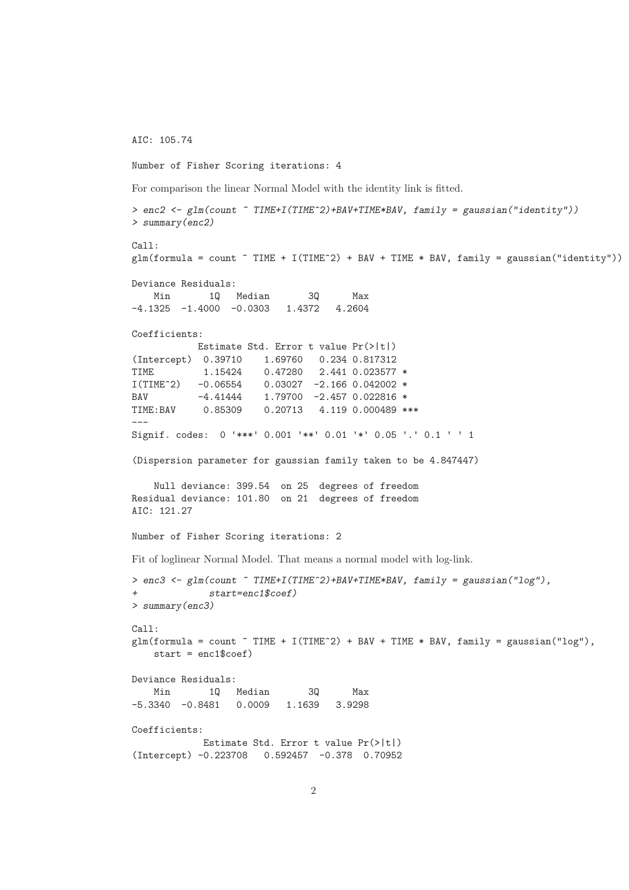AIC: 105.74

```
Number of Fisher Scoring iterations: 4
For comparison the linear Normal Model with the identity link is fitted.
> enc2 <- glm(count ~ TIME+I(TIME^2)+BAV+TIME*BAV, family = gaussian("identity"))
> summary(enc2)
Call:
glm(formula = count "TIME + I(TIME^2) + BAV + TIME * BAV, family = gaussian("identity"))Deviance Residuals:
   Min 1Q Median 3Q Max
-4.1325 -1.4000 -0.0303 1.4372 4.2604
Coefficients:
          Estimate Std. Error t value Pr(>|t|)
(Intercept) 0.39710 1.69760 0.234 0.817312
TIME 1.15424 0.47280 2.441 0.023577 *
I(TIME^2) -0.06554 0.03027 -2.166 0.042002 *
BAV -4.41444 1.79700 -2.457 0.022816 *
TIME:BAV 0.85309 0.20713 4.119 0.000489 ***
---
Signif. codes: 0 '***' 0.001 '**' 0.01 '*' 0.05 '.' 0.1 ' ' 1
(Dispersion parameter for gaussian family taken to be 4.847447)
   Null deviance: 399.54 on 25 degrees of freedom
Residual deviance: 101.80 on 21 degrees of freedom
AIC: 121.27
Number of Fisher Scoring iterations: 2
Fit of loglinear Normal Model. That means a normal model with log-link.
> enc3 <- glm(count ~ TIME+I(TIME~2)+BAV+TIME*BAV, family = gaussian("log"),
             start=enc1$coef)
> summary(enc3)
Call:
glm(formula = count " TIME + I(TIME^2) + BAV + TIME * BAV, family = gaussian("log"),
   start = enc1$coef)
Deviance Residuals:
   Min 1Q Median 3Q Max
-5.3340 -0.8481 0.0009 1.1639 3.9298
Coefficients:
            Estimate Std. Error t value Pr(>|t|)
(Intercept) -0.223708 0.592457 -0.378 0.70952
```